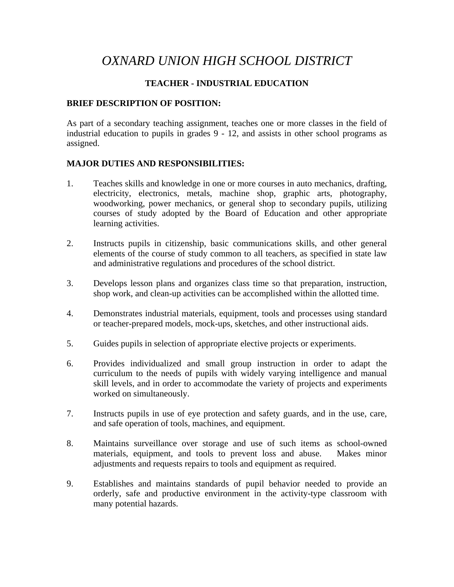# *OXNARD UNION HIGH SCHOOL DISTRICT*

# **TEACHER - INDUSTRIAL EDUCATION**

#### **BRIEF DESCRIPTION OF POSITION:**

As part of a secondary teaching assignment, teaches one or more classes in the field of industrial education to pupils in grades 9 - 12, and assists in other school programs as assigned.

## **MAJOR DUTIES AND RESPONSIBILITIES:**

- 1. Teaches skills and knowledge in one or more courses in auto mechanics, drafting, electricity, electronics, metals, machine shop, graphic arts, photography, woodworking, power mechanics, or general shop to secondary pupils, utilizing courses of study adopted by the Board of Education and other appropriate learning activities.
- 2. Instructs pupils in citizenship, basic communications skills, and other general elements of the course of study common to all teachers, as specified in state law and administrative regulations and procedures of the school district.
- 3. Develops lesson plans and organizes class time so that preparation, instruction, shop work, and clean-up activities can be accomplished within the allotted time.
- 4. Demonstrates industrial materials, equipment, tools and processes using standard or teacher-prepared models, mock-ups, sketches, and other instructional aids.
- 5. Guides pupils in selection of appropriate elective projects or experiments.
- 6. Provides individualized and small group instruction in order to adapt the curriculum to the needs of pupils with widely varying intelligence and manual skill levels, and in order to accommodate the variety of projects and experiments worked on simultaneously.
- 7. Instructs pupils in use of eye protection and safety guards, and in the use, care, and safe operation of tools, machines, and equipment.
- 8. Maintains surveillance over storage and use of such items as school-owned materials, equipment, and tools to prevent loss and abuse. Makes minor adjustments and requests repairs to tools and equipment as required.
- 9. Establishes and maintains standards of pupil behavior needed to provide an orderly, safe and productive environment in the activity-type classroom with many potential hazards.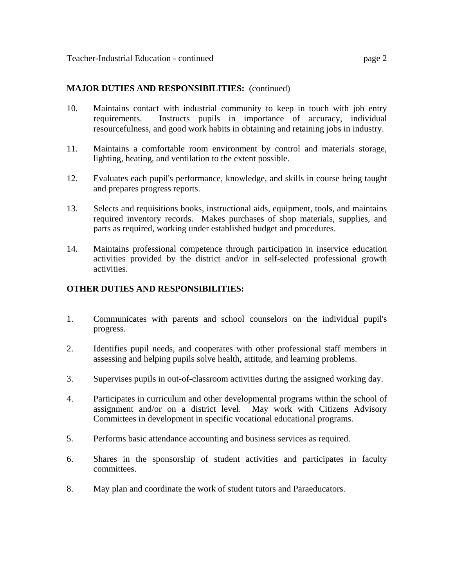#### **MAJOR DUTIES AND RESPONSIBILITIES:** (continued)

- 10. Maintains contact with industrial community to keep in touch with job entry requirements. Instructs pupils in importance of accuracy, individual resourcefulness, and good work habits in obtaining and retaining jobs in industry.
- 11. Maintains a comfortable room environment by control and materials storage, lighting, heating, and ventilation to the extent possible.
- 12. Evaluates each pupil's performance, knowledge, and skills in course being taught and prepares progress reports.
- 13. Selects and requisitions books, instructional aids, equipment, tools, and maintains required inventory records. Makes purchases of shop materials, supplies, and parts as required, working under established budget and procedures.
- 14. Maintains professional competence through participation in inservice education activities provided by the district and/or in self-selected professional growth activities.

## **OTHER DUTIES AND RESPONSIBILITIES:**

- 1. Communicates with parents and school counselors on the individual pupil's progress.
- 2. Identifies pupil needs, and cooperates with other professional staff members in assessing and helping pupils solve health, attitude, and learning problems.
- 3. Supervises pupils in out-of-classroom activities during the assigned working day.
- 4. Participates in curriculum and other developmental programs within the school of assignment and/or on a district level. May work with Citizens Advisory Committees in development in specific vocational educational programs.
- 5. Performs basic attendance accounting and business services as required.
- 6. Shares in the sponsorship of student activities and participates in faculty committees.
- 8. May plan and coordinate the work of student tutors and Paraeducators.